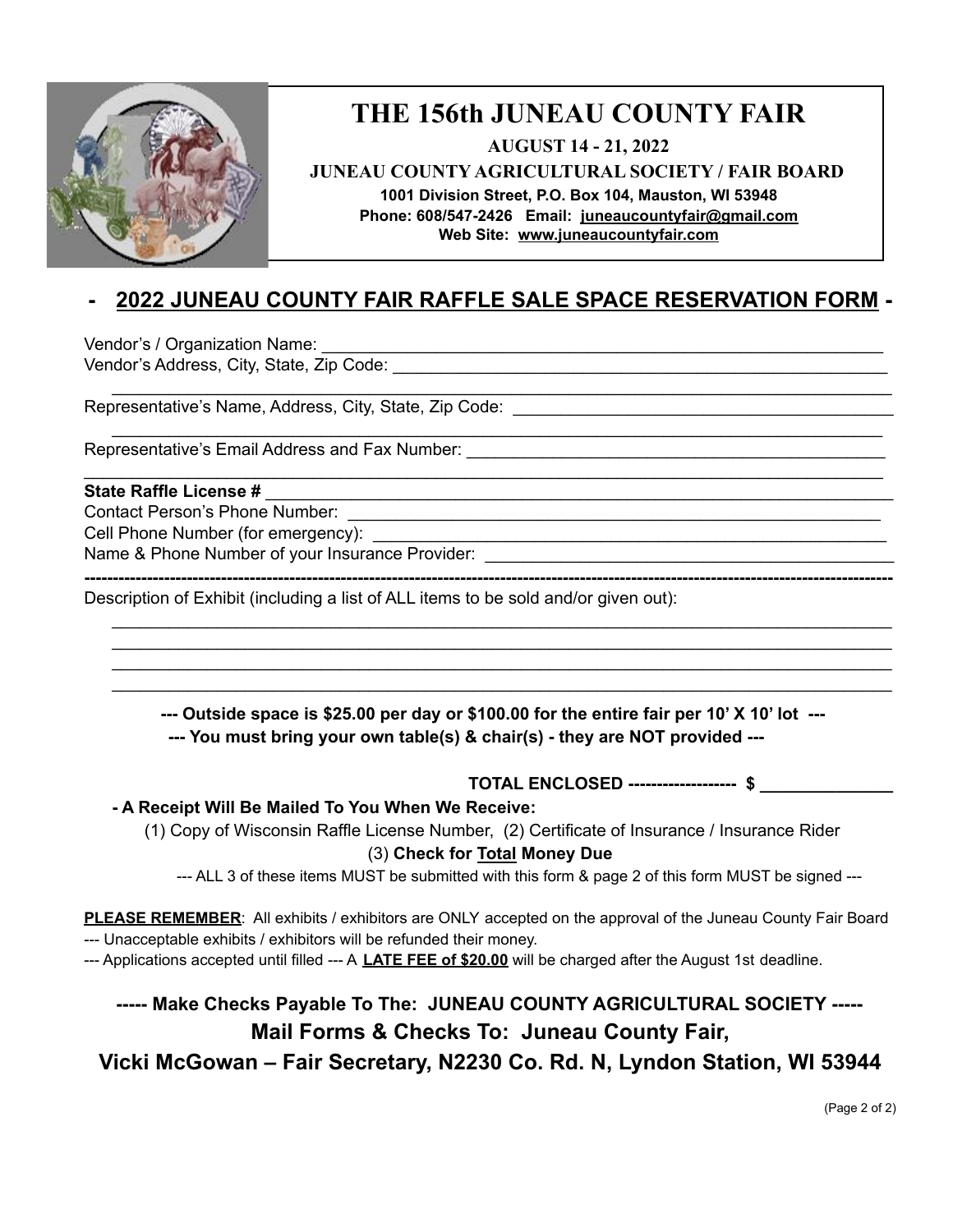

# **THE 156th JUNEAU COUNTY FAIR**

**AUGUST 14 - 21, 2022**

**JUNEAU COUNTY AGRICULTURAL SOCIETY / FAIR BOARD**

**1001 Division Street, P.O. Box 104, Mauston, WI 53948**

**Phone: 608/547-2426 Email: [juneaucountyfair@gmail.com](mailto:juneaucountyfair@gmail.com) Web Site: [www.juneaucountyf](http://www.juneaucounty/)air.com**

## **- 2022 JUNEAU COUNTY FAIR RAFFLE SALE SPACE RESERVATION FORM -**

\_\_\_\_\_\_\_\_\_\_\_\_\_\_\_\_\_\_\_\_\_\_\_\_\_\_\_\_\_\_\_\_\_\_\_\_\_\_\_\_\_\_\_\_\_\_\_\_\_\_\_\_\_\_\_\_\_\_\_\_\_\_\_\_\_\_\_\_\_\_\_\_\_\_\_\_\_\_\_\_\_\_

\_\_\_\_\_\_\_\_\_\_\_\_\_\_\_\_\_\_\_\_\_\_\_\_\_\_\_\_\_\_\_\_\_\_\_\_\_\_\_\_\_\_\_\_\_\_\_\_\_\_\_\_\_\_\_\_\_\_\_\_\_\_\_\_\_\_\_\_\_\_\_\_\_\_\_\_\_\_\_\_\_

\_\_\_\_\_\_\_\_\_\_\_\_\_\_\_\_\_\_\_\_\_\_\_\_\_\_\_\_\_\_\_\_\_\_\_\_\_\_\_\_\_\_\_\_\_\_\_\_\_\_\_\_\_\_\_\_\_\_\_\_\_\_\_\_\_\_\_\_\_\_\_\_\_\_\_\_\_\_\_\_\_\_\_\_

Vendor's / Organization Name: \_\_\_\_\_\_\_\_\_\_\_\_\_\_\_\_\_\_\_\_\_\_\_\_\_\_\_\_\_\_\_\_\_\_\_\_\_\_\_\_\_\_\_\_\_\_\_\_\_\_\_\_\_\_\_\_\_\_\_ Vendor's Address, City, State, Zip Code: \_\_\_\_\_\_\_\_\_\_\_\_\_\_\_\_\_\_\_\_\_\_\_\_\_\_\_\_\_\_\_\_\_\_\_\_\_\_\_\_\_\_\_\_\_\_\_\_\_\_\_\_

Representative's Name, Address, City, State, Zip Code:

Representative's Email Address and Fax Number:

### **State Raffle License #** \_\_\_\_\_\_\_\_\_\_\_\_\_\_\_\_\_\_\_\_\_\_\_\_\_\_\_\_\_\_\_\_\_\_\_\_\_\_\_\_\_\_\_\_\_\_\_\_\_\_\_\_\_\_\_\_\_\_\_\_\_\_\_\_\_\_

Contact Person's Phone Number:

Cell Phone Number (for emergency):

Name & Phone Number of your Insurance Provider: \_\_\_\_\_\_\_\_\_\_\_\_\_\_\_\_\_\_\_\_\_\_\_\_\_\_\_\_\_\_\_\_

**----------------------------------------------------------------------------------------------------------------------------------------------**

Description of Exhibit (including a list of ALL items to be sold and/or given out):

**--- Outside space is \$25.00 per day or \$100.00 for the entire fair per 10' X 10' lot --- --- You must bring your own table(s) & chair(s) - they are NOT provided ---**

\_\_\_\_\_\_\_\_\_\_\_\_\_\_\_\_\_\_\_\_\_\_\_\_\_\_\_\_\_\_\_\_\_\_\_\_\_\_\_\_\_\_\_\_\_\_\_\_\_\_\_\_\_\_\_\_\_\_\_\_\_\_\_\_\_\_\_\_\_\_\_\_\_\_\_\_\_\_\_\_\_\_ \_\_\_\_\_\_\_\_\_\_\_\_\_\_\_\_\_\_\_\_\_\_\_\_\_\_\_\_\_\_\_\_\_\_\_\_\_\_\_\_\_\_\_\_\_\_\_\_\_\_\_\_\_\_\_\_\_\_\_\_\_\_\_\_\_\_\_\_\_\_\_\_\_\_\_\_\_\_\_\_\_\_ \_\_\_\_\_\_\_\_\_\_\_\_\_\_\_\_\_\_\_\_\_\_\_\_\_\_\_\_\_\_\_\_\_\_\_\_\_\_\_\_\_\_\_\_\_\_\_\_\_\_\_\_\_\_\_\_\_\_\_\_\_\_\_\_\_\_\_\_\_\_\_\_\_\_\_\_\_\_\_\_\_\_ \_\_\_\_\_\_\_\_\_\_\_\_\_\_\_\_\_\_\_\_\_\_\_\_\_\_\_\_\_\_\_\_\_\_\_\_\_\_\_\_\_\_\_\_\_\_\_\_\_\_\_\_\_\_\_\_\_\_\_\_\_\_\_\_\_\_\_\_\_\_\_\_\_\_\_\_\_\_\_\_\_\_

**TOTAL ENCLOSED ------------------- \$ \_\_\_\_\_\_\_\_\_\_\_\_\_\_**

#### **- A Receipt Will Be Mailed To You When We Receive:**

(1) Copy of Wisconsin Raffle License Number, (2) Certificate of Insurance / Insurance Rider (3) **Check for Total Money Due**

--- ALL 3 of these items MUST be submitted with this form & page 2 of this form MUST be signed ---

**PLEASE REMEMBER**: All exhibits / exhibitors are ONLY accepted on the approval of the Juneau County Fair Board --- Unacceptable exhibits / exhibitors will be refunded their money.

--- Applications accepted until filled --- A **LATE FEE of \$20.00** will be charged after the August 1st deadline.

### **----- Make Checks Payable To The: JUNEAU COUNTY AGRICULTURAL SOCIETY ----- Mail Forms & Checks To: Juneau County Fair,**

**Vicki McGowan – Fair Secretary, N2230 Co. Rd. N, Lyndon Station, WI 53944**